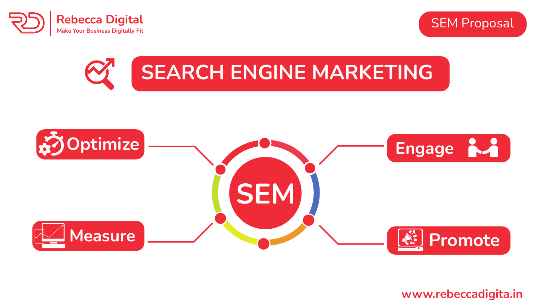





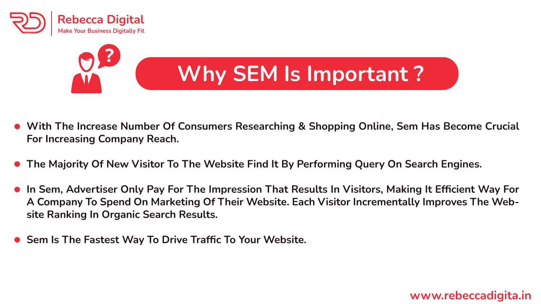

# **Why SEM Is Important ?**

- **With The Increase Number Of Consumers Researching & Shopping Online, Sem Has Become Crucial For Increasing Company Reach.**
- **The Majority Of New Visitor To The Website Find It By Performing Query On Search Engines.**
- **In Sem, Advertiser Only Pay For The Impression That Results In Visitors, Making It Efficient Way For A Company To Spend On Marketing Of Their Website. Each Visitor Incrementally Improves The Website Ranking In Organic Search Results.**
- **Sem Is The Fastest Way To Drive Traffic To Your Website.**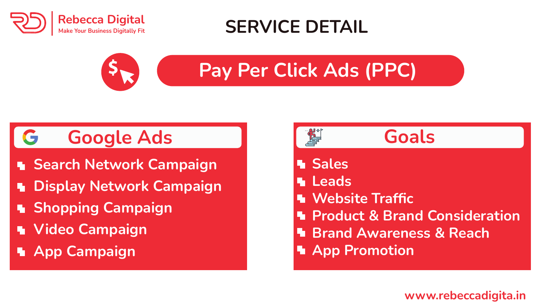

## **SERVICE DETAIL**



# **Pay Per Click Ads (PPC)**

## **Google Ads**

- **Search Network Campaign**
- **Display Network Campaign**
- **E** Shopping Campaign
- **Video Campaign**
- **App Campaign**





- **M** Sales
- **Leads**
- **Website Traffic**
- **Product & Brand Consideration**
- **Brand Awareness & Reach**
- **App Promotion**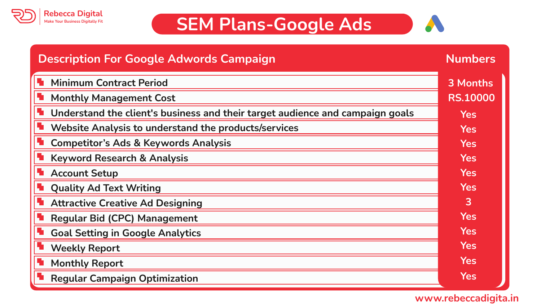

### **SEM Plans-Google Ads**



| <b>Description For Google Adwords Campaign</b>                                | <b>Numbers</b>  |
|-------------------------------------------------------------------------------|-----------------|
| <b>Minimum Contract Period</b>                                                | 3 Months        |
| <b>Monthly Management Cost</b>                                                | <b>RS.10000</b> |
| Understand the client's business and their target audience and campaign goals | <b>Yes</b>      |
| Website Analysis to understand the products/services                          | <b>Yes</b>      |
| <b>Competitor's Ads &amp; Keywords Analysis</b>                               | <b>Yes</b>      |
| <b>Keyword Research &amp; Analysis</b>                                        | <b>Yes</b>      |
| <b>Account Setup</b>                                                          | <b>Yes</b>      |
| <b>Quality Ad Text Writing</b>                                                | <b>Yes</b>      |
| <b>Attractive Creative Ad Designing</b>                                       | 3               |
| <b>Regular Bid (CPC) Management</b>                                           | <b>Yes</b>      |
| <b>Goal Setting in Google Analytics</b>                                       | <b>Yes</b>      |
| <b>Weekly Report</b>                                                          | <b>Yes</b>      |
| <b>Monthly Report</b>                                                         | <b>Yes</b>      |
| <b>Regular Campaign Optimization</b>                                          | <b>Yes</b>      |